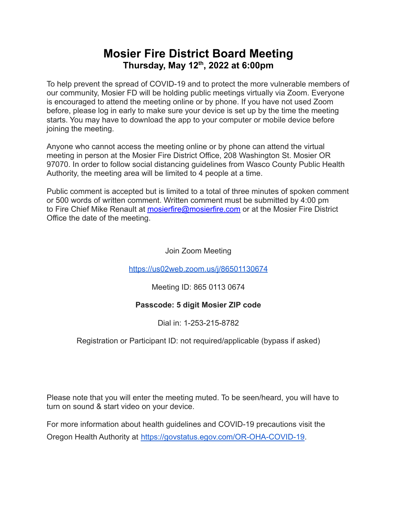## **Mosier Fire District Board Meeting Thursday, May 12 th , 2022 at 6:00pm**

To help prevent the spread of COVID-19 and to protect the more vulnerable members of our community, Mosier FD will be holding public meetings virtually via Zoom. Everyone is encouraged to attend the meeting online or by phone. If you have not used Zoom before, please log in early to make sure your device is set up by the time the meeting starts. You may have to download the app to your computer or mobile device before joining the meeting.

Anyone who cannot access the meeting online or by phone can attend the virtual meeting in person at the Mosier Fire District Office, 208 Washington St. Mosier OR 97070. In order to follow social distancing guidelines from Wasco County Public Health Authority, the meeting area will be limited to 4 people at a time.

Public comment is accepted but is limited to a total of three minutes of spoken comment or 500 words of written comment. Written comment must be submitted by 4:00 pm to Fire Chief Mike Renault at [mosierfire@mosierfire.com](mailto:mosierfire@mosierfire.com) or at the Mosier Fire District Office the date of the meeting.

Join Zoom Meeting

<https://us02web.zoom.us/j/86501130674>

Meeting ID: 865 0113 0674

### **Passcode: 5 digit Mosier ZIP code**

Dial in: 1-253-215-8782

Registration or Participant ID: not required/applicable (bypass if asked)

Please note that you will enter the meeting muted. To be seen/heard, you will have to turn on sound & start video on your device.

For more information about health guidelines and COVID-19 precautions visit the Oregon Health Authority at [https://govstatus.egov.com/OR-OHA-COVID-19.](https://govstatus.egov.com/OR-OHA-COVID-19)